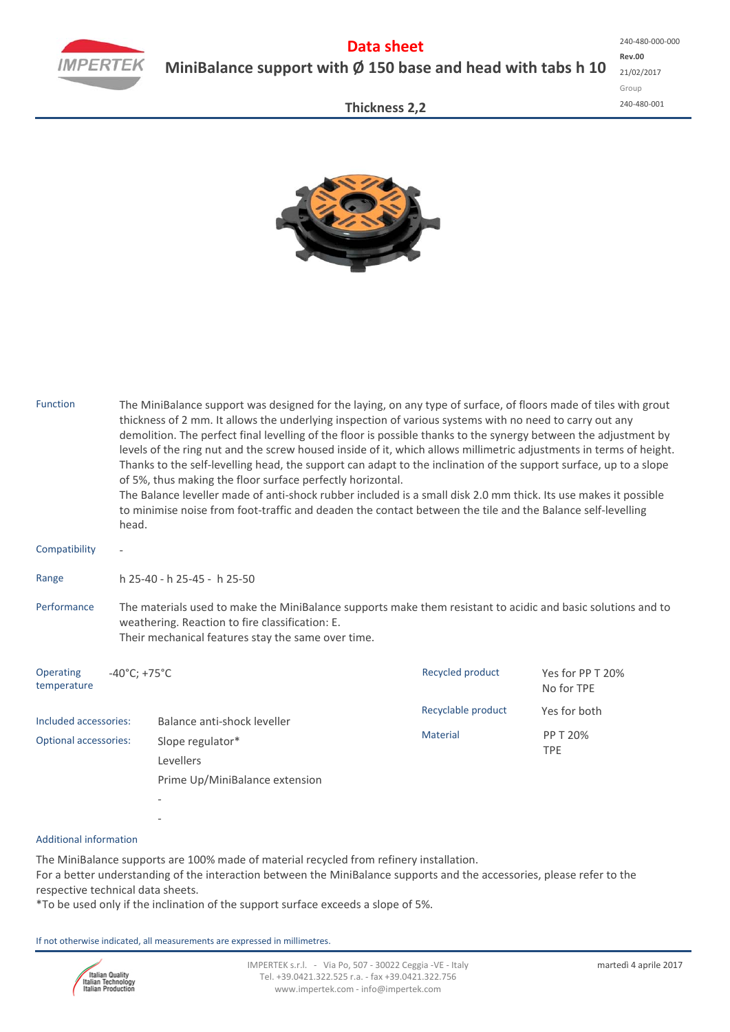

**Thickness 2,2**



| <b>Function</b>                                                                                                                                                                                                          | The MiniBalance support was designed for the laying, on any type of surface, of floors made of tiles with grout<br>thickness of 2 mm. It allows the underlying inspection of various systems with no need to carry out any<br>demolition. The perfect final levelling of the floor is possible thanks to the synergy between the adjustment by<br>levels of the ring nut and the screw housed inside of it, which allows millimetric adjustments in terms of height.<br>Thanks to the self-levelling head, the support can adapt to the inclination of the support surface, up to a slope<br>of 5%, thus making the floor surface perfectly horizontal.<br>The Balance leveller made of anti-shock rubber included is a small disk 2.0 mm thick. Its use makes it possible<br>to minimise noise from foot-traffic and deaden the contact between the tile and the Balance self-levelling<br>head. |  |                    |                                                                          |  |  |  |  |  |
|--------------------------------------------------------------------------------------------------------------------------------------------------------------------------------------------------------------------------|---------------------------------------------------------------------------------------------------------------------------------------------------------------------------------------------------------------------------------------------------------------------------------------------------------------------------------------------------------------------------------------------------------------------------------------------------------------------------------------------------------------------------------------------------------------------------------------------------------------------------------------------------------------------------------------------------------------------------------------------------------------------------------------------------------------------------------------------------------------------------------------------------|--|--------------------|--------------------------------------------------------------------------|--|--|--|--|--|
| Compatibility                                                                                                                                                                                                            |                                                                                                                                                                                                                                                                                                                                                                                                                                                                                                                                                                                                                                                                                                                                                                                                                                                                                                   |  |                    |                                                                          |  |  |  |  |  |
| Range                                                                                                                                                                                                                    | h 25-40 - h 25-45 - h 25-50                                                                                                                                                                                                                                                                                                                                                                                                                                                                                                                                                                                                                                                                                                                                                                                                                                                                       |  |                    |                                                                          |  |  |  |  |  |
| Performance                                                                                                                                                                                                              | The materials used to make the MiniBalance supports make them resistant to acidic and basic solutions and to<br>weathering. Reaction to fire classification: E.<br>Their mechanical features stay the same over time.                                                                                                                                                                                                                                                                                                                                                                                                                                                                                                                                                                                                                                                                             |  |                    |                                                                          |  |  |  |  |  |
| Operating<br>$-40^{\circ}$ C; +75 $^{\circ}$ C<br>temperature<br>Included accessories:<br>Balance anti-shock leveller<br><b>Optional accessories:</b><br>Slope regulator*<br>Levellers<br>Prime Up/MiniBalance extension |                                                                                                                                                                                                                                                                                                                                                                                                                                                                                                                                                                                                                                                                                                                                                                                                                                                                                                   |  | Recycled product   | Yes for PP T 20%<br>No for TPE<br>Yes for both<br>PP T 20%<br><b>TPE</b> |  |  |  |  |  |
|                                                                                                                                                                                                                          |                                                                                                                                                                                                                                                                                                                                                                                                                                                                                                                                                                                                                                                                                                                                                                                                                                                                                                   |  | Recyclable product |                                                                          |  |  |  |  |  |
|                                                                                                                                                                                                                          |                                                                                                                                                                                                                                                                                                                                                                                                                                                                                                                                                                                                                                                                                                                                                                                                                                                                                                   |  | <b>Material</b>    |                                                                          |  |  |  |  |  |
| <b>Additional information</b>                                                                                                                                                                                            |                                                                                                                                                                                                                                                                                                                                                                                                                                                                                                                                                                                                                                                                                                                                                                                                                                                                                                   |  |                    |                                                                          |  |  |  |  |  |

## Additional information

The MiniBalance supports are 100% made of material recycled from refinery installation. For a better understanding of the interaction between the MiniBalance supports and the accessories, please refer to the respective technical data sheets.

\*To be used only if the inclination of the support surface exceeds a slope of 5%.

If not otherwise indicated, all measurements are expressed in millimetres.